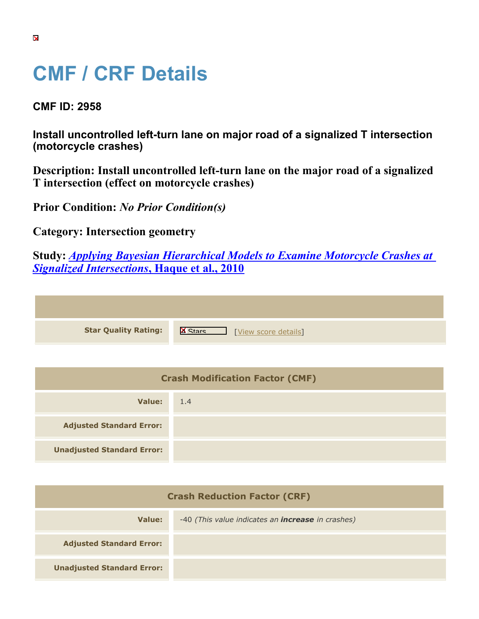## **CMF / CRF Details**

**CMF ID: 2958**

**Install uncontrolled left-turn lane on major road of a signalized T intersection (motorcycle crashes)**

**Description: Install uncontrolled left-turn lane on the major road of a signalized T intersection (effect on motorcycle crashes)**

**Prior Condition:** *No Prior Condition(s)*

**Category: Intersection geometry**

**Study:** *[Applying Bayesian Hierarchical Models to Examine Motorcycle Crashes at](https://cmfclearinghouse.org/study_detail.cfm?stid=201) [Signalized Intersections](https://cmfclearinghouse.org/study_detail.cfm?stid=201)***[, Haque et al., 2010](https://cmfclearinghouse.org/study_detail.cfm?stid=201)**

**Star Quality Rating:** X We We We Score details

| <b>Crash Modification Factor (CMF)</b> |     |  |
|----------------------------------------|-----|--|
| Value:                                 | 1.4 |  |
| <b>Adjusted Standard Error:</b>        |     |  |
| <b>Unadjusted Standard Error:</b>      |     |  |

| <b>Crash Reduction Factor (CRF)</b> |                                                          |
|-------------------------------------|----------------------------------------------------------|
| Value:                              | -40 (This value indicates an <i>increase</i> in crashes) |
| <b>Adjusted Standard Error:</b>     |                                                          |
| <b>Unadjusted Standard Error:</b>   |                                                          |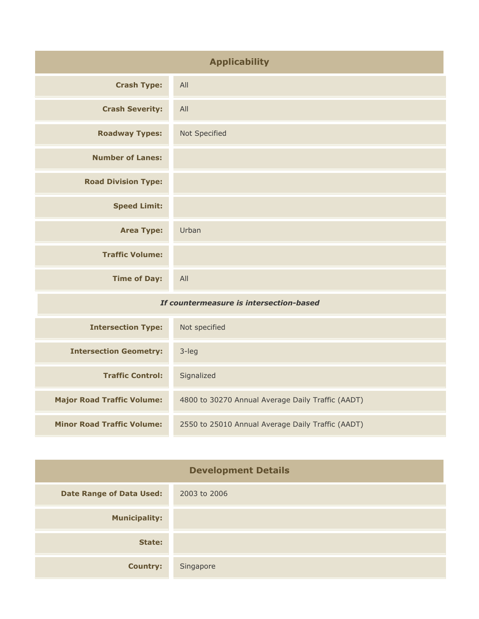| <b>Applicability</b>       |               |
|----------------------------|---------------|
| <b>Crash Type:</b>         | All           |
| <b>Crash Severity:</b>     | All           |
| <b>Roadway Types:</b>      | Not Specified |
| <b>Number of Lanes:</b>    |               |
| <b>Road Division Type:</b> |               |
| <b>Speed Limit:</b>        |               |
| <b>Area Type:</b>          | Urban         |
| <b>Traffic Volume:</b>     |               |
| <b>Time of Day:</b>        | All           |

## *If countermeasure is intersection-based*

| <b>Intersection Type:</b>         | Not specified                                     |
|-----------------------------------|---------------------------------------------------|
| <b>Intersection Geometry:</b>     | $3$ -leg                                          |
| <b>Traffic Control:</b>           | Signalized                                        |
| <b>Major Road Traffic Volume:</b> | 4800 to 30270 Annual Average Daily Traffic (AADT) |
| <b>Minor Road Traffic Volume:</b> | 2550 to 25010 Annual Average Daily Traffic (AADT) |

| <b>Development Details</b>      |              |
|---------------------------------|--------------|
| <b>Date Range of Data Used:</b> | 2003 to 2006 |
| <b>Municipality:</b>            |              |
| State:                          |              |
| <b>Country:</b>                 | Singapore    |